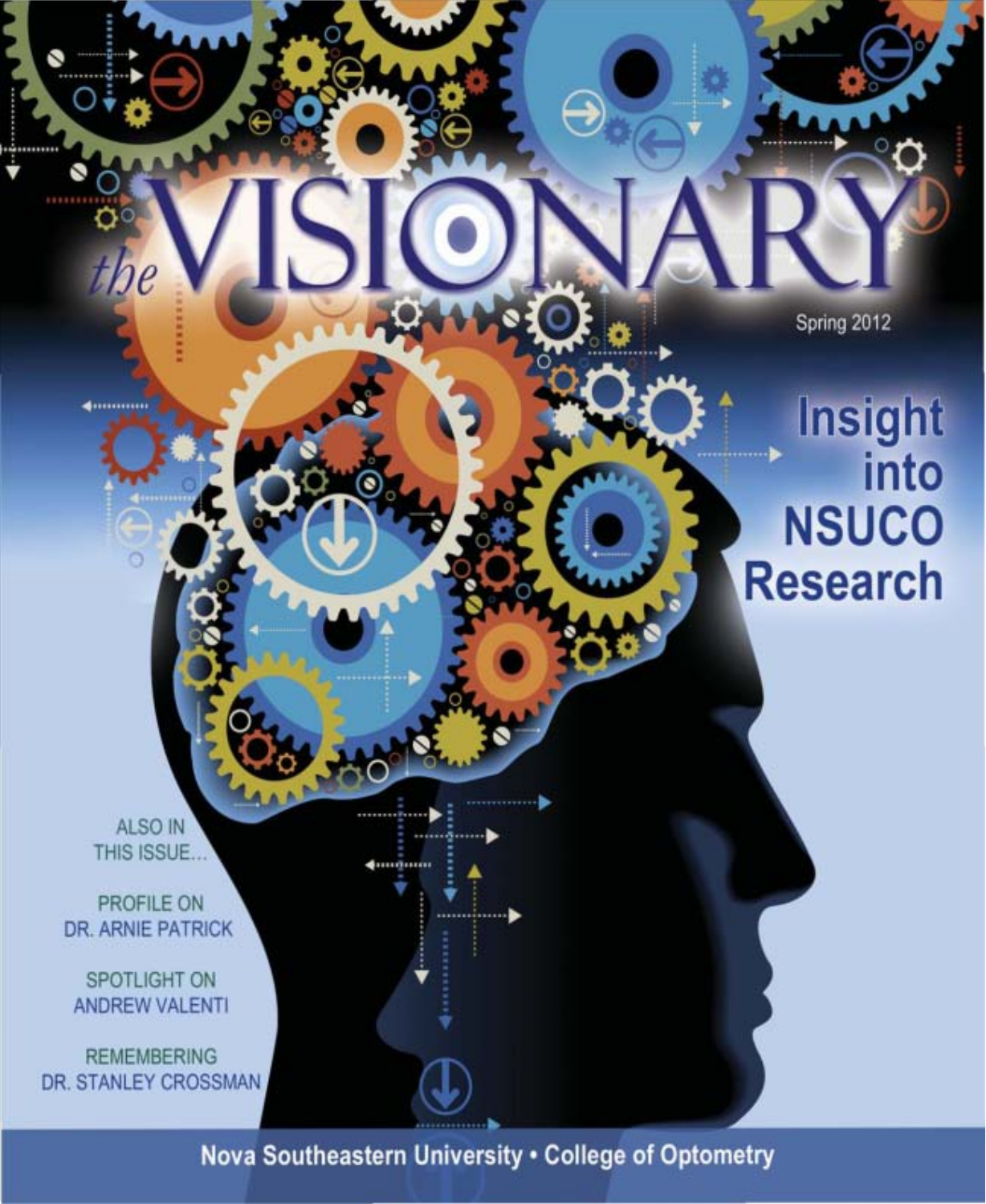Spring 2012

# **Insight into NSUCO Research**

ALSO IN THIS ISSUE...

4. . . . . . . . . . . .

PROFILE ON DR. ARNIE PATRICK

SPOTLIGHT ON ANDREW VALENTI

REMEMBERING DR. STANLEY CROSSMAN

Nova Southeastern University . College of Optometry

**iğinin**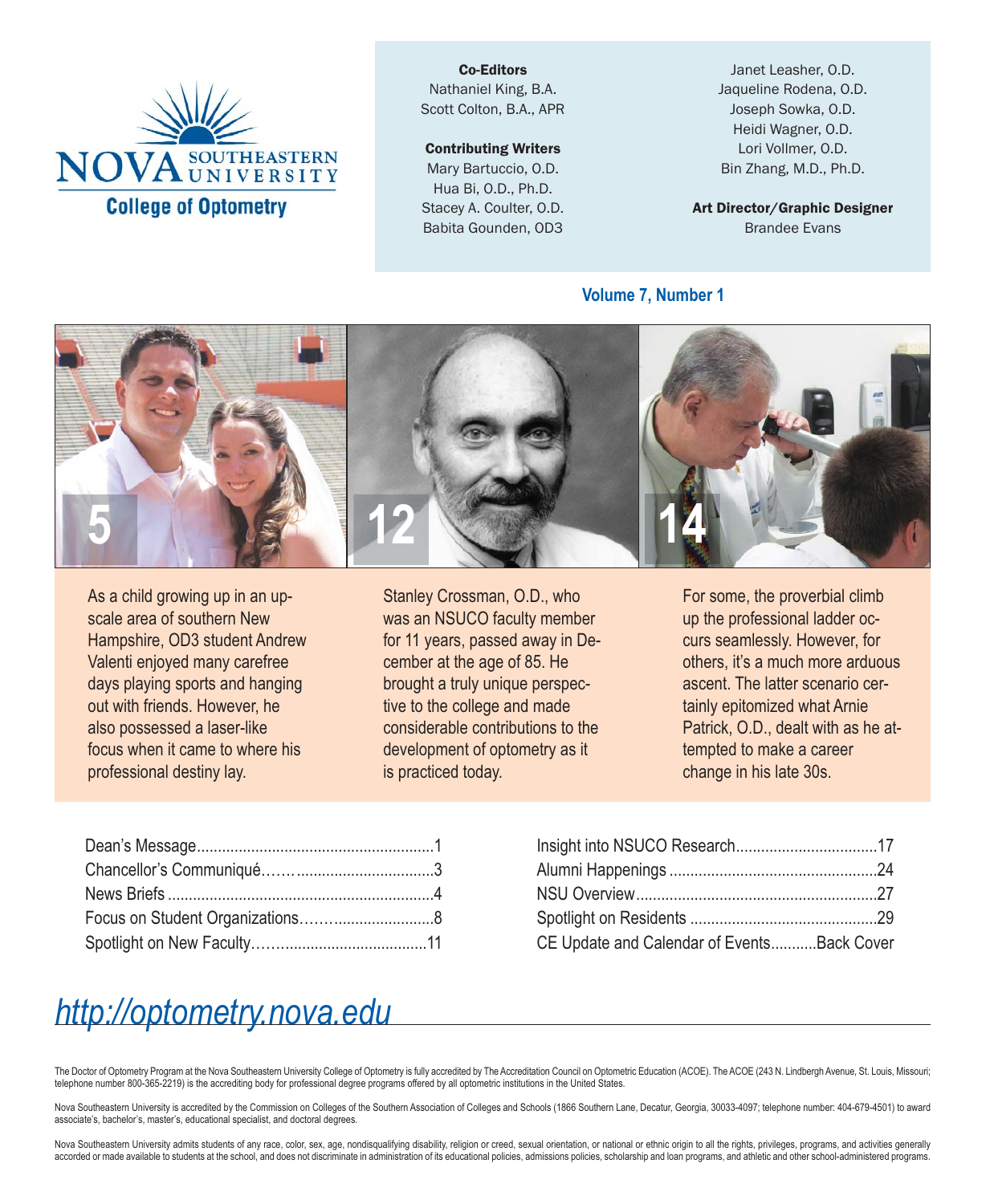

Co-Editors Nathaniel King, B.A. Scott Colton, B.A., APR

#### Contributing Writers

Mary Bartuccio, O.D. Hua Bi, O.D., Ph.D. Stacey A. Coulter, O.D. Babita Gounden, OD3

Janet Leasher, O.D. Jaqueline Rodena, O.D. Joseph Sowka, O.D. Heidi Wagner, O.D. Lori Vollmer, O.D. Bin Zhang, M.D., Ph.D.

Art Director/Graphic Designer Brandee Evans

**Volume 7, Number 1**



As a child growing up in an upscale area of southern New Hampshire, OD3 student Andrew Valenti enjoyed many carefree days playing sports and hanging out with friends. However, he also possessed a laser-like focus when it came to where his professional destiny lay.

Stanley Crossman, O.D., who was an NSUCO faculty member for 11 years, passed away in December at the age of 85. He brought a truly unique perspective to the college and made considerable contributions to the development of optometry as it is practiced today.

For some, the proverbial climb up the professional ladder occurs seamlessly. However, for others, it's a much more arduous ascent. The latter scenario certainly epitomized what Arnie Patrick, O.D., dealt with as he attempted to make a career change in his late 30s.

| CE Update and Calendar of Events Back Cover |  |
|---------------------------------------------|--|

### *http://optometry.nova.edu*

The Doctor of Optometry Program at the Nova Southeastern University College of Optometry is fully accredited by The Accreditation Council on Optometric Education (ACOE). The ACOE (243 N. Lindbergh Avenue, St. Louis, Missou telephone number 800-365-2219) is the accrediting body for professional degree programs offered by all optometric institutions in the United States.

Nova Southeastern University is accredited by the Commission on Colleges of the Southern Association of Colleges and Schools (1866 Southern Lane, Decatur, Georgia, 30033-4097; telephone number: 404-679-4501) to award associate's, bachelor's, master's, educational specialist, and doctoral degrees.

Nova Southeastern University admits students of any race, color, sex, age, nondisqualifying disability, religion or creed, sexual orientation, or national or ethnic origin to all the rights, privileges, programs, and activ accorded or made available to students at the school, and does not discriminate in administration of its educational policies, admissions policies, scholarship and loan programs, and athletic and other school-administered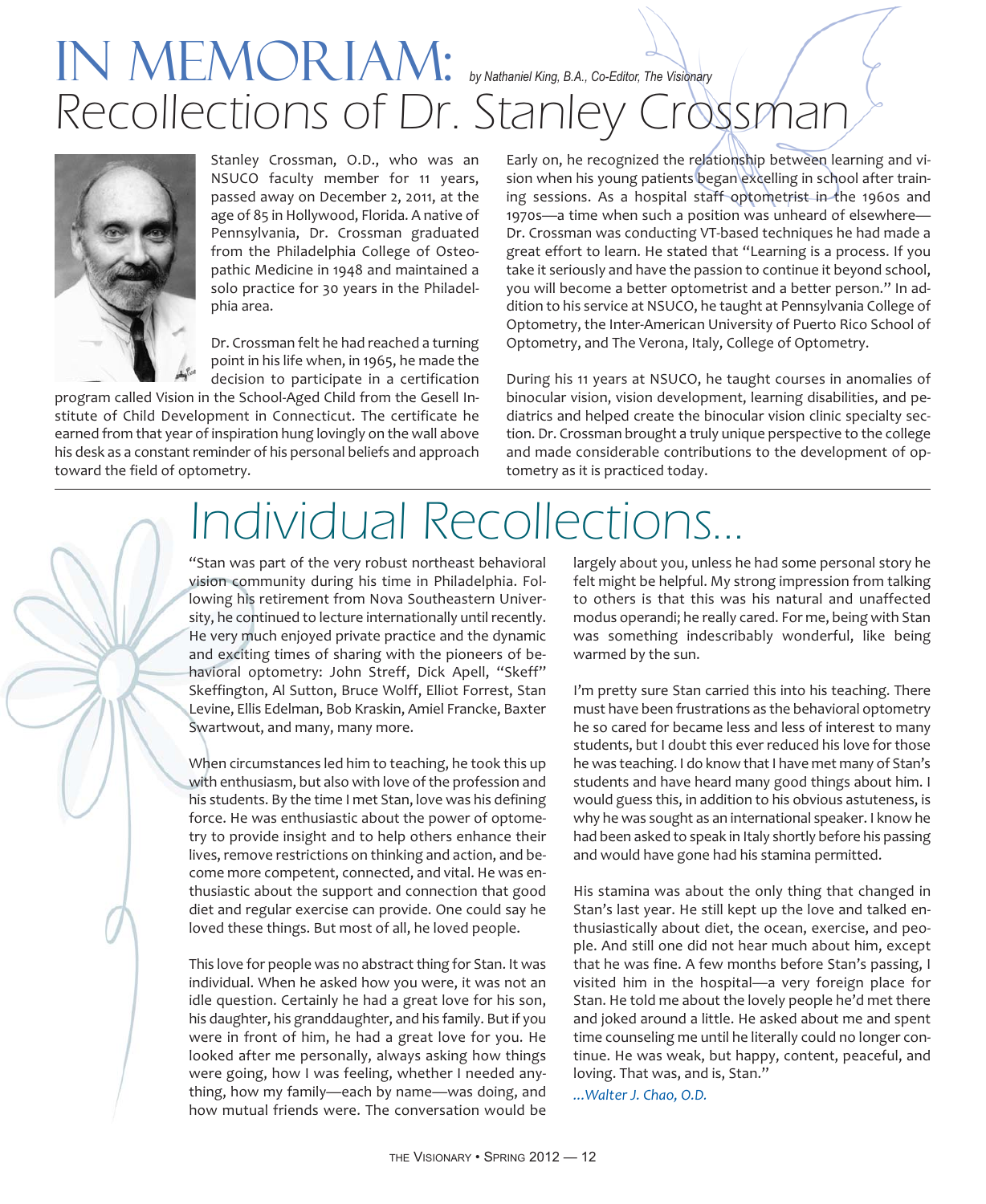## IN MEMORIAM: *by Nathaniel King, B.A., Co-Editor, The Visionary* Recollections of Dr. Stanley Crossman



Stanley Crossman, O.D., who was an NSUCO faculty member for 11 years, passed away on December 2, 2011, at the age of 85 in Hollywood, Florida. A native of Pennsylvania, Dr. Crossman graduated from the Philadelphia College of Osteopathic Medicine in 1948 and maintained a solo practice for 30 years in the Philadelphia area.

Dr. Crossman felt he had reached a turning point in his life when, in 1965, he made the decision to participate in a certification

program called Vision in the School-Aged Child from the Gesell Institute of Child Development in Connecticut. The certificate he earned from that year of inspiration hung lovingly on the wall above his desk as a constant reminder of his personal beliefs and approach toward the field of optometry.

Early on, he recognized the relationship between learning and vision when his young patients began excelling in school after training sessions. As a hospital staff optometrist in the 1960s and 1970s—a time when such a position was unheard of elsewhere— Dr. Crossman was conducting VT-based techniques he had made a great effort to learn. He stated that "Learning is a process. If you take it seriously and have the passion to continue it beyond school, you will become a better optometrist and a better person." In addition to his service at NSUCO, he taught at Pennsylvania College of Optometry, the Inter-American University of Puerto Rico School of Optometry, and The Verona, Italy, College of Optometry.

During his 11 years at NSUCO, he taught courses in anomalies of binocular vision, vision development, learning disabilities, and pediatrics and helped create the binocular vision clinic specialty section. Dr. Crossman brought a truly unique perspective to the college and made considerable contributions to the development of optometry as it is practiced today.

# Individual Recollections...

"Stan was part of the very robust northeast behavioral vision community during his time in Philadelphia. Following his retirement from Nova Southeastern University, he continued to lecture internationally until recently. He very much enjoyed private practice and the dynamic and exciting times of sharing with the pioneers of behavioral optometry: John Streff, Dick Apell, "Skeff" Skeffington, Al Sutton, Bruce Wolff, Elliot Forrest, Stan Levine, Ellis Edelman, Bob Kraskin, Amiel Francke, Baxter Swartwout, and many, many more.

When circumstances led him to teaching, he took this up with enthusiasm, but also with love of the profession and his students. By the time I met Stan, love was his defining force. He was enthusiastic about the power of optometry to provide insight and to help others enhance their lives, remove restrictions on thinking and action, and become more competent, connected, and vital. He was enthusiastic about the support and connection that good diet and regular exercise can provide. One could say he loved these things. But most of all, he loved people.

This love for people was no abstract thing for Stan. It was individual. When he asked how you were, it was not an idle question. Certainly he had a great love for his son, his daughter, his granddaughter, and his family. But if you were in front of him, he had a great love for you. He looked after me personally, always asking how things were going, how I was feeling, whether I needed anything, how my family—each by name—was doing, and how mutual friends were. The conversation would be largely about you, unless he had some personal story he felt might be helpful. My strong impression from talking to others is that this was his natural and unaffected modus operandi; he really cared. For me, being with Stan was something indescribably wonderful, like being warmed by the sun.

I'm pretty sure Stan carried this into his teaching. There must have been frustrations as the behavioral optometry he so cared for became less and less of interest to many students, but I doubt this ever reduced his love for those he was teaching. I do know that I have met many of Stan's students and have heard many good things about him. I would guess this, in addition to his obvious astuteness, is why he was sought as an international speaker. I know he had been asked to speak in Italy shortly before his passing and would have gone had his stamina permitted.

His stamina was about the only thing that changed in Stan's last year. He still kept up the love and talked enthusiastically about diet, the ocean, exercise, and people. And still one did not hear much about him, except that he was fine. A few months before Stan's passing, I visited him in the hospital—a very foreign place for Stan. He told me about the lovely people he'd met there and joked around a little. He asked about me and spent time counseling me until he literally could no longer continue. He was weak, but happy, content, peaceful, and loving. That was, and is, Stan."

*...Walter J. Chao, O.D.*